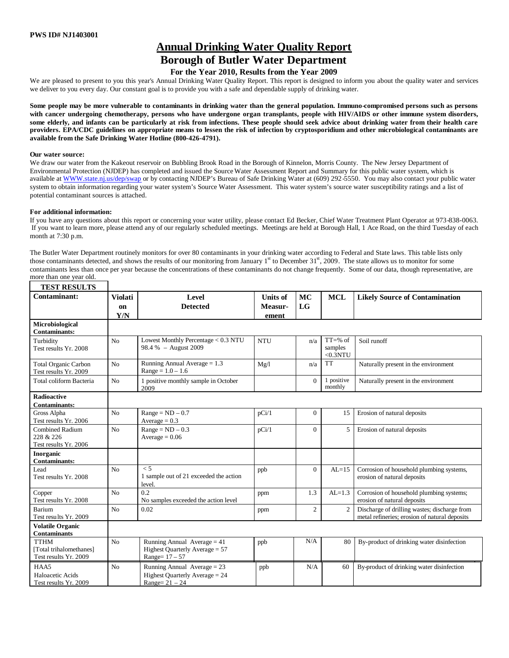# **Annual Drinking Water Quality Report**

# **Borough of Butler Water Department**

## **For the Year 2010, Results from the Year 2009**

We are pleased to present to you this year's Annual Drinking Water Quality Report. This report is designed to inform you about the quality water and services we deliver to you every day. Our constant goal is to provide you with a safe and dependable supply of drinking water.

**Some people may be more vulnerable to contaminants in drinking water than the general population. Immuno-compromised persons such as persons with cancer undergoing chemotherapy, persons who have undergone organ transplants, people with HIV/AIDS or other immune system disorders, some elderly, and infants can be particularly at risk from infections. These people should seek advice about drinking water from their health care providers. EPA/CDC guidelines on appropriate means to lessen the risk of infection by cryptosporidium and other microbiological contaminants are available from the Safe Drinking Water Hotline (800-426-4791).**

#### **Our water source:**

We draw our water from the Kakeout reservoir on Bubbling Brook Road in the Borough of Kinnelon, Morris County. The New Jersey Department of Environmental Protection (NJDEP) has completed and issued the SourceWater Assessment Report and Summary for this public water system, which is available at WWW.state.nj.us/dep/swap or by contacting NJDEP's Bureau of Safe Drinking Water at (609) 292-5550. You may also contact your public water system to obtain information regarding your water system's Source Water Assessment. This water system's source water susceptibility ratings and a list of potential contaminant sources is attached.

#### **For additional information:**

**TEST RESULTS**

If you have any questions about this report or concerning your water utility, please contact Ed Becker, Chief Water Treatment Plant Operator at 973-838-0063. If you want to learn more, please attend any of our regularly scheduled meetings. Meetings are held at Borough Hall, 1 Ace Road, on the third Tuesday of each month at 7:30 p.m.

The Butler Water Department routinely monitors for over 80 contaminants in your drinking water according to Federal and State laws. This table lists only those contaminants detected, and shows the results of our monitoring from January  $1<sup>st</sup>$  to December 31 $<sup>st</sup>$ , 2009. The state allows us to monitor for some</sup> contaminants less than once per year because the concentrations of these contaminants do not change frequently. Some of our data, though representative, are more than one year old.

| ********************<br>Contaminant:                            | <b>Violati</b><br>on | Level<br><b>Detected</b>                                                              | <b>Units</b> of<br>Measur- | MC<br>LG       | <b>MCL</b>                           | <b>Likely Source of Contamination</b>                                                         |
|-----------------------------------------------------------------|----------------------|---------------------------------------------------------------------------------------|----------------------------|----------------|--------------------------------------|-----------------------------------------------------------------------------------------------|
|                                                                 | Y/N                  |                                                                                       | ement                      |                |                                      |                                                                                               |
| Microbiological<br><b>Contaminants:</b>                         |                      |                                                                                       |                            |                |                                      |                                                                                               |
| Turbidity<br>Test results Yr. 2008                              | N <sub>o</sub>       | Lowest Monthly Percentage < 0.3 NTU<br>98.4 % - August 2009                           | <b>NTU</b>                 | n/a            | $TT = % of$<br>samples<br>$<$ 0.3NTU | Soil runoff                                                                                   |
| <b>Total Organic Carbon</b><br>Test results Yr. 2009            | N <sub>o</sub>       | Running Annual Average $= 1.3$<br>$Range = 1.0 - 1.6$                                 | Mg/l                       | n/a            | <b>TT</b>                            | Naturally present in the environment                                                          |
| Total coliform Bacteria                                         | N <sub>o</sub>       | 1 positive monthly sample in October<br>2009                                          |                            | $\Omega$       | 1 positive<br>monthly                | Naturally present in the environment                                                          |
| <b>Radioactive</b>                                              |                      |                                                                                       |                            |                |                                      |                                                                                               |
| <b>Contaminants:</b>                                            |                      |                                                                                       |                            |                |                                      |                                                                                               |
| Gross Alpha<br>Test results Yr. 2006                            | N <sub>o</sub>       | $Range = ND - 0.7$<br>$Average = 0.3$                                                 | pCi/1                      | $\overline{0}$ | 15                                   | Erosion of natural deposits                                                                   |
| Combined Radium<br>228 & 226<br>Test results Yr. 2006           | N <sub>o</sub>       | $Range = ND - 0.3$<br>$Average = 0.06$                                                | pCi/1                      | $\overline{0}$ | 5                                    | Erosion of natural deposits                                                                   |
| Inorganic<br><b>Contaminants:</b>                               |                      |                                                                                       |                            |                |                                      |                                                                                               |
| Lead<br>Test results Yr. 2008                                   | N <sub>o</sub>       | $\leq 5$<br>1 sample out of 21 exceeded the action<br>level.                          | ppb                        | $\overline{0}$ | $AL=15$                              | Corrosion of household plumbing systems,<br>erosion of natural deposits                       |
| Copper<br>Test results Yr. 2008                                 | No                   | 0.2<br>No samples exceeded the action level                                           | ppm                        | 1.3            | $AL=1.3$                             | Corrosion of household plumbing systems;<br>erosion of natural deposits                       |
| Barium<br>Test results Yr. 2009                                 | N <sub>o</sub>       | 0.02                                                                                  | ppm                        | $\overline{c}$ | 2                                    | Discharge of drilling wastes; discharge from<br>metal refineries: erosion of natural deposits |
| <b>Volatile Organic</b><br><b>Contaminants</b>                  |                      |                                                                                       |                            |                |                                      |                                                                                               |
| <b>TTHM</b><br>[Total trihalomethanes]<br>Test results Yr. 2009 | N <sub>o</sub>       | Running Annual Average $= 41$<br>Highest Quarterly Average $= 57$<br>Range= $17 - 57$ | ppb                        | N/A            | 80                                   | By-product of drinking water disinfection                                                     |
| HAA5<br>Haloacetic Acids<br>Test results Yr. 2009               | N <sub>0</sub>       | Running Annual Average = 23<br>Highest Quarterly Average $= 24$<br>Range= $21 - 24$   | ppb                        | N/A            | 60                                   | By-product of drinking water disinfection                                                     |